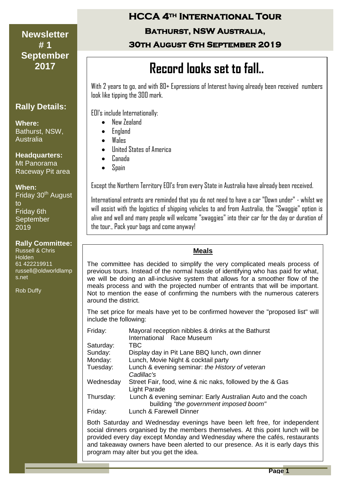#### **Newsletter** | *May 2007* **2017 # 1 September**

## **Rally Details:**

**Where:** Bathurst, NSW, Australia

**Headquarters:**

Mt Panorama Raceway Pit area

#### **When:**

Friday 30<sup>th</sup> August to Friday 6th **September** 2019

#### **Rally Committee:**

Russell & Chris Holden 61 422219911 russell@oldworldlamp s.net

Rob Duffy

# **HCCA 4th International Tour**

## **Bathurst, NSW Australia,**

**30th August 6th September 2019** 

# **<sup>2017</sup> Record looks set to fall..**

With 2 years to go, and with 80+ Expressions of Interest having already been received numbers look like tipping the 300 mark.

EOI's include Internationally:

- New Zealand
- England
- Wales
- United States of America
- Canada
- Spain

Except the Northern Territory EOI's from every State in Australia have already been received.

International entrants are reminded that you do not need to have a car "Down under" - whilst we will assist with the logistics of shipping vehicles to and from Australia, the "Swaggie" option is alive and well and many people will welcome "swaggies" into their car for the day or duration of the tour., Pack your bags and come anyway!

#### **Meals**

The committee has decided to simplify the very complicated meals process of previous tours. Instead of the normal hassle of identifying who has paid for what, we will be doing an all-inclusive system that allows for a smoother flow of the meals process and with the projected number of entrants that will be important. Not to mention the ease of confirming the numbers with the numerous caterers around the district.

The set price for meals have yet to be confirmed however the "proposed list" will include the following:

| Friday:   | Mayoral reception nibbles & drinks at the Bathurst<br>International Race Museum                        |
|-----------|--------------------------------------------------------------------------------------------------------|
| Saturday: | TBC                                                                                                    |
| Sunday:   | Display day in Pit Lane BBQ lunch, own dinner                                                          |
| Monday:   | Lunch, Movie Night & cocktail party                                                                    |
| Tuesday:  | Lunch & evening seminar: the History of veteran<br>Cadillac's                                          |
| Wednesday | Street Fair, food, wine & nic naks, followed by the & Gas<br>Light Parade                              |
| Thursday: | Lunch & evening seminar: Early Australian Auto and the coach<br>building "the government imposed boom" |
| Friday:   | Lunch & Farewell Dinner                                                                                |

Both Saturday and Wednesday evenings have been left free, for independent social dinners organised by the members themselves. At this point lunch will be provided every day except Monday and Wednesday where the cafés, restaurants and takeaway owners have been alerted to our presence. As it is early days this program may alter but you get the idea.